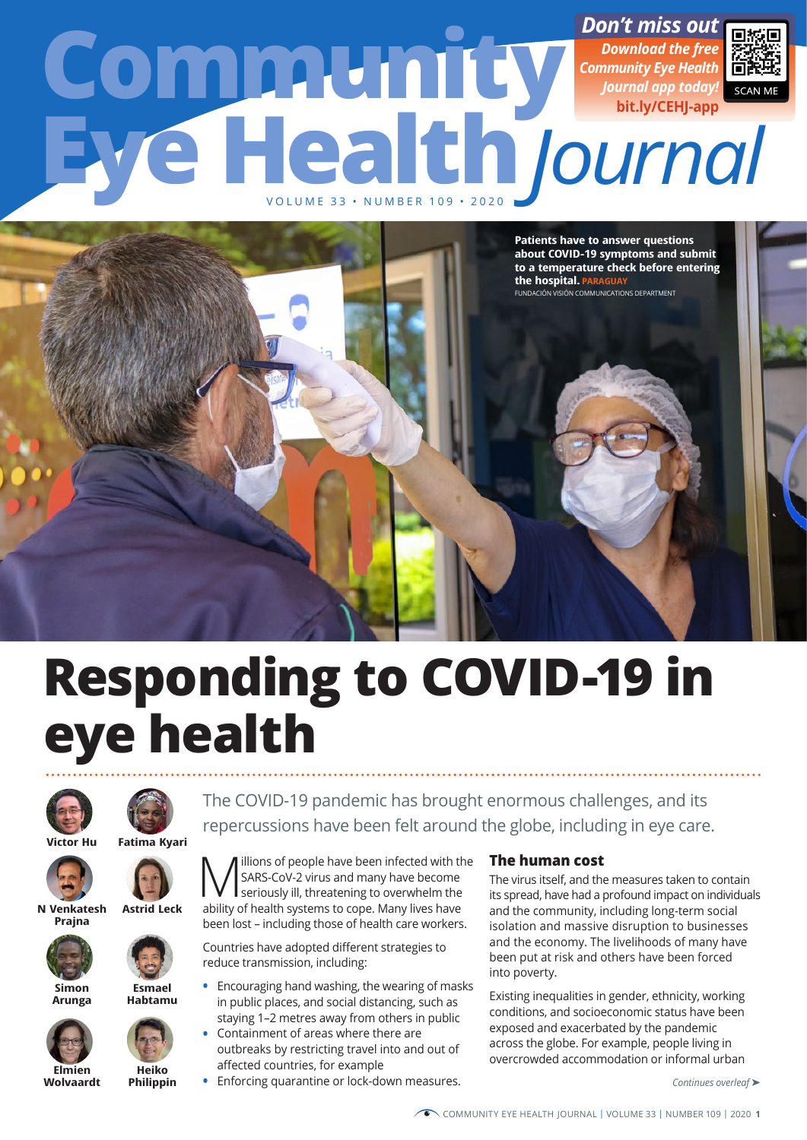# www.cometh<mark>.com/t miss out <sub>जिश्र</sub></mark> **Eye Health Community** *Journal* VOLUME 33 • NUMBER 109 • 2020 *Download the free Community Eye Health Journal app today!* **[bit.ly/CEHJ-app](http://bit.ly/CEHJ-app)**



# **Responding to COVID-19 in eye health**





The COVID-19 pandemic has brought enormous challenges, and its repercussions have been felt around the globe, including in eye care.





**N Venkatesh Prajna**



**Simon Arunga**



**Elmien Wolvaardt**



**Esmael Habtamu**

**Heiko Philippin**

**M** SARS-CoV-2 virus and many have become<br>seriously ill, threatening to overwhelm the<br>bility of boalth cystems to sone. Many lives bays SARS-CoV-2 virus and many have become ability of health systems to cope. Many lives have been lost – including those of health care workers.

Countries have adopted different strategies to reduce transmission, including:

- **•** Encouraging hand washing, the wearing of masks in public places, and social distancing, such as staying 1–2 metres away from others in public
- **•** Containment of areas where there are outbreaks by restricting travel into and out of affected countries, for example
- **•** Enforcing quarantine or lock-down measures.

# **The human cost**

The virus itself, and the measures taken to contain its spread, have had a profound impact on individuals and the community, including long-term social isolation and massive disruption to businesses and the economy. The livelihoods of many have been put at risk and others have been forced into poverty.

Existing inequalities in gender, ethnicity, working conditions, and socioeconomic status have been exposed and exacerbated by the pandemic across the globe. For example, people living in overcrowded accommodation or informal urban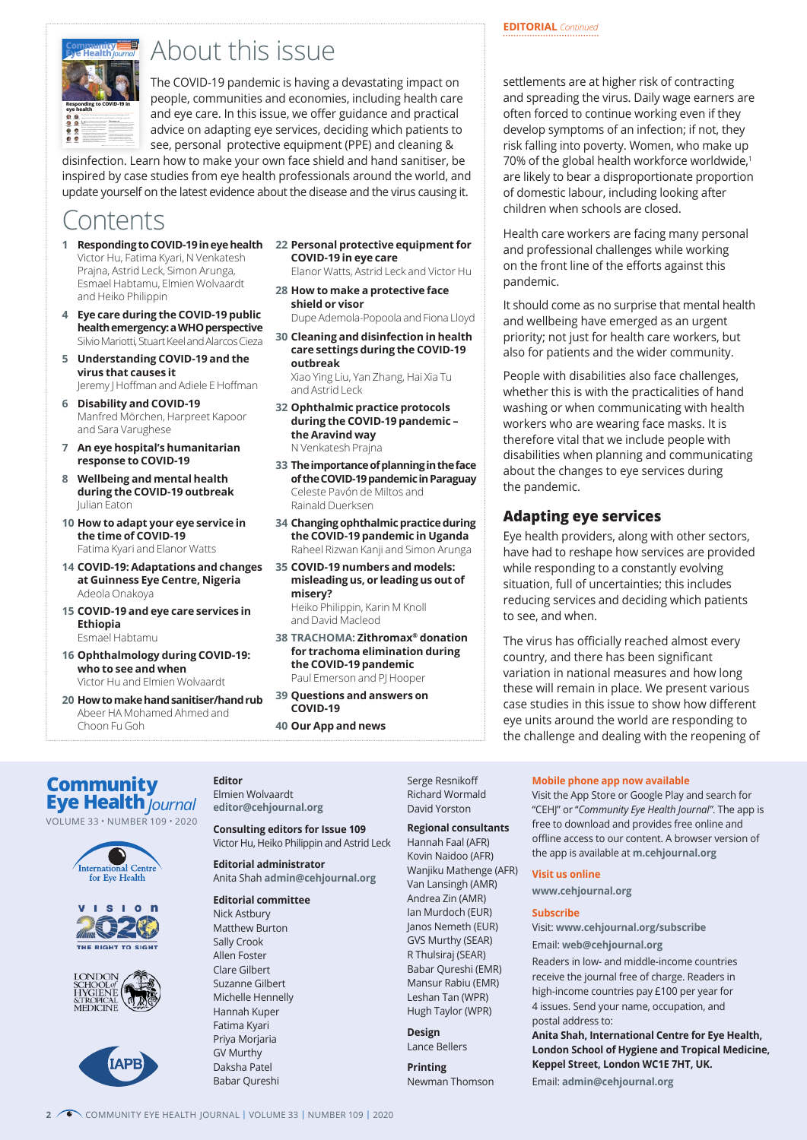

# *<u>Registricity</u> Popular this issue*

The COVID-19 pandemic is having a devastating impact on people, communities and economies, including health care and eye care. In this issue, we offer guidance and practical advice on adapting eye services, deciding which patients to see, personal protective equipment (PPE) and cleaning &

disinfection. Learn how to make your own face shield and hand sanitiser, be inspired by case studies from eye health professionals around the world, and update yourself on the latest evidence about the disease and the virus causing it.

# **Contents**

- **1 Responding to COVID-19 in eye health** Victor Hu, Fatima Kyari, N Venkatesh Prajna, Astrid Leck, Simon Arunga, Esmael Habtamu, Elmien Wolvaardt and Heiko Philippin
- **4 Eye care during the COVID-19 public health emergency: a WHO perspective** Silvio Mariotti, Stuart Keel and Alarcos Cieza
- **5 Understanding COVID-19 and the virus that causes it** Jeremy J Hoffman and Adiele E Hoffman
- **6 Disability and COVID-19** Manfred Mörchen, Harpreet Kapoor and Sara Varughese
- **7 An eye hospital's humanitarian response to COVID-19**
- **8 Wellbeing and mental health during the COVID-19 outbreak** Julian Eaton
- **10 How to adapt your eye service in the time of COVID-19** Fatima Kyari and Elanor Watts
- **14 COVID-19: Adaptations and changes at Guinness Eye Centre, Nigeria** Adeola Onakoya
- **15 COVID-19 and eye care services in Ethiopia** Esmael Habtamu
- **16 Ophthalmology during COVID-19: who to see and when** Victor Hu and Elmien Wolvaardt
- **20 How to make hand sanitiser/hand rub** Abeer HA Mohamed Ahmed and Choon Fu Goh

**22 Personal protective equipment for COVID-19 in eye care**

Elanor Watts, Astrid Leck and Victor Hu

**28 How to make a protective face shield or visor**

Dupe Ademola-Popoola and Fiona Lloyd

**30 Cleaning and disinfection in health care settings during the COVID-19 outbreak**

Xiao Ying Liu, Yan Zhang, Hai Xia Tu and Astrid Leck

- **32 Ophthalmic practice protocols during the COVID-19 pandemic – the Aravind way** N Venkatesh Prajna
- **33 The importance of planning in the face of the COVID-19 pandemic in Paraguay** Celeste Pavón de Miltos and Rainald Duerksen
- **34 Changing ophthalmic practice during the COVID-19 pandemic in Uganda** Raheel Rizwan Kanji and Simon Arunga
- **35 COVID-19 numbers and models: misleading us, or leading us out of misery?** Heiko Philippin, Karin M Knoll

and David Macleod

- **38 TRACHOMA: Zithromax® donation for trachoma elimination during the COVID-19 pandemic** Paul Emerson and PJ Hooper
- **39 Questions and answers on COVID-19**

**40 Our App and news**

# **EDITORIAL** *Continued*

settlements are at higher risk of contracting and spreading the virus. Daily wage earners are often forced to continue working even if they develop symptoms of an infection; if not, they risk falling into poverty. Women, who make up 70% of the global health workforce worldwide,<sup>1</sup> are likely to bear a disproportionate proportion of domestic labour, including looking after children when schools are closed.

Health care workers are facing many personal and professional challenges while working on the front line of the efforts against this pandemic.

It should come as no surprise that mental health and wellbeing have emerged as an urgent priority; not just for health care workers, but also for patients and the wider community.

People with disabilities also face challenges, whether this is with the practicalities of hand washing or when communicating with health workers who are wearing face masks. It is therefore vital that we include people with disabilities when planning and communicating about the changes to eye services during the pandemic.

# **Adapting eye services**

Eye health providers, along with other sectors, have had to reshape how services are provided while responding to a constantly evolving situation, full of uncertainties; this includes reducing services and deciding which patients to see, and when.

The virus has officially reached almost every country, and there has been significant variation in national measures and how long these will remain in place. We present various case studies in this issue to show how different eye units around the world are responding to the challenge and dealing with the reopening of

**Eye Health** *Journal* **Community**











**Editor** Elmien Wolvaardt

**editor@cehjournal.org Consulting editors for Issue 109**

Victor Hu, Heiko Philippin and Astrid Leck

**Editorial administrator** Anita Shah **[admin@cehjournal.org](mailto:admin%40cehjournal.org?subject=)** 

### **Editorial committee** Nick Astbury Matthew Burton Sally Crook

Allen Foster Clare Gilbert Suzanne Gilbert Michelle Hennelly Hannah Kuper Fatima Kyari Priya Morjaria GV Murthy Daksha Patel Babar Qureshi

Serge Resnikoff Richard Wormald David Yorston

# **Regional consultants**

Hannah Faal (AFR) Kovin Naidoo (AFR) Wanjiku Mathenge (AFR) Van Lansingh (AMR) Andrea Zin (AMR) Ian Murdoch (EUR) Janos Nemeth (EUR) GVS Murthy (SEAR) R Thulsiraj (SEAR) Babar Qureshi (EMR) Mansur Rabiu (EMR) Leshan Tan (WPR) Hugh Taylor (WPR)

**Design** Lance Bellers

**Printing** Newman Thomson

**Mobile phone app now available** Visit the App Store or Google Play and search for "CEHJ" or "*Community Eye Health Journal"*. The app is free to download and provides free online and offline access to our content. A browser version of the app is available at **m[.cehjournal.or](https://m.cehjournal.org/)g**

# **Visit us online**

**[www.cehjournal.org](https://www.cehjournal.org/)**

# **Subscribe**

Visit: **www.cehjournal.org/subscribe**  Email: **[web@cehjournal.org](mailto:web%40cehjournal.org?subject=)**

Readers in low- and middle-income countries receive the journal free of charge. Readers in high-income countries pay £100 per year for 4 issues. Send your name, occupation, and postal address to:

**Anita Shah, International Centre for Eye Health, London School of Hygiene and Tropical Medicine, Keppel Street, London WC1E 7HT, UK.**

Email: **[admin@cehjournal.org](mailto:admin%40cehjournal.org?subject=)**